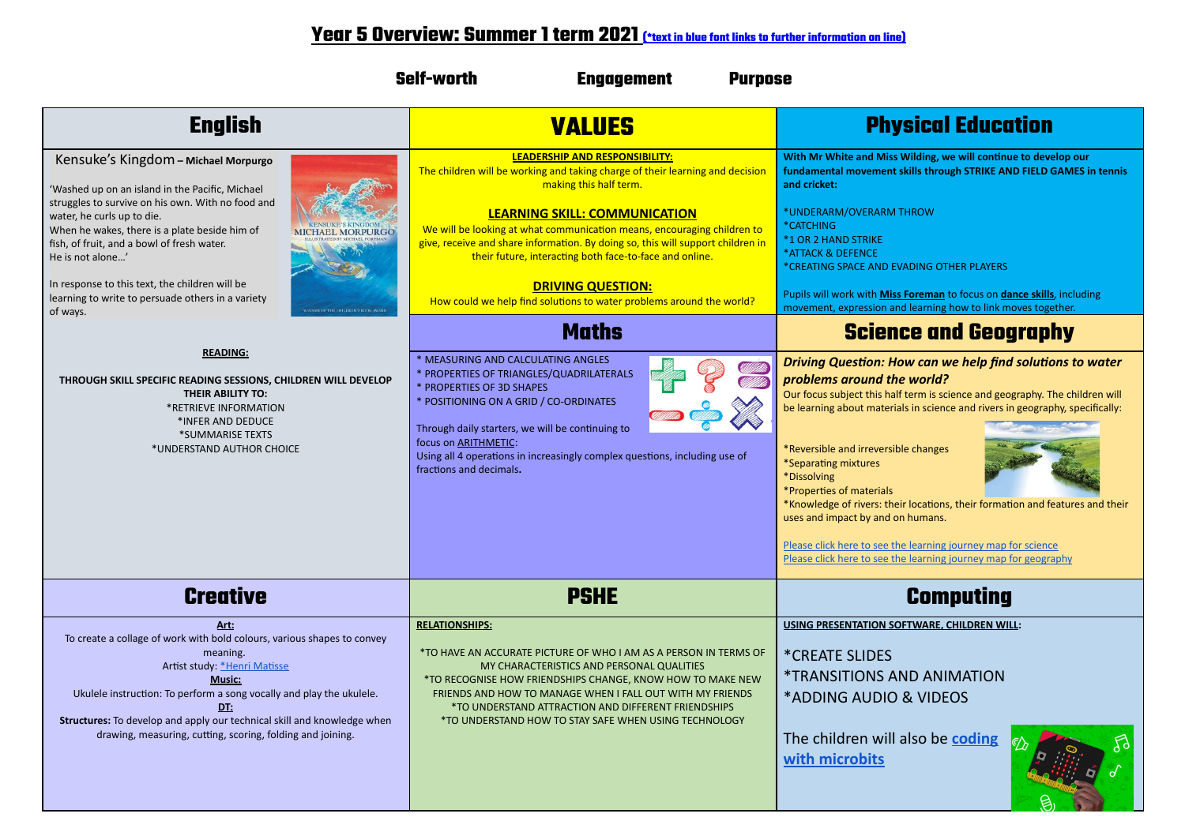## **Year 5 Overview: Summer 1 term 2021 (\*text in blue font links to further information on line)**

| <b>Self-worth</b><br><b>Engagement</b><br><b>Purpose</b>                                                                                                                                                                                                                                                                                                                                                                                                                                                                                                                                                                                                                           |                                                                                                                                                                                                                                                                                                                                                                                                                                                                                                                                                                                                                                                                                                                                                                                                                                                                                             |                                                                                                                                                                                                                                                                                                                                                                                                                                                                                                                                                                                                                                                                                                                                                                                                                                                                                                                                                                                                                                                                                                      |
|------------------------------------------------------------------------------------------------------------------------------------------------------------------------------------------------------------------------------------------------------------------------------------------------------------------------------------------------------------------------------------------------------------------------------------------------------------------------------------------------------------------------------------------------------------------------------------------------------------------------------------------------------------------------------------|---------------------------------------------------------------------------------------------------------------------------------------------------------------------------------------------------------------------------------------------------------------------------------------------------------------------------------------------------------------------------------------------------------------------------------------------------------------------------------------------------------------------------------------------------------------------------------------------------------------------------------------------------------------------------------------------------------------------------------------------------------------------------------------------------------------------------------------------------------------------------------------------|------------------------------------------------------------------------------------------------------------------------------------------------------------------------------------------------------------------------------------------------------------------------------------------------------------------------------------------------------------------------------------------------------------------------------------------------------------------------------------------------------------------------------------------------------------------------------------------------------------------------------------------------------------------------------------------------------------------------------------------------------------------------------------------------------------------------------------------------------------------------------------------------------------------------------------------------------------------------------------------------------------------------------------------------------------------------------------------------------|
| <b>English</b>                                                                                                                                                                                                                                                                                                                                                                                                                                                                                                                                                                                                                                                                     | <b>VALUES</b>                                                                                                                                                                                                                                                                                                                                                                                                                                                                                                                                                                                                                                                                                                                                                                                                                                                                               | <b>Physical Education</b>                                                                                                                                                                                                                                                                                                                                                                                                                                                                                                                                                                                                                                                                                                                                                                                                                                                                                                                                                                                                                                                                            |
| Kensuke's Kingdom - Michael Morpurgo<br>'Washed up on an island in the Pacific, Michael<br>struggles to survive on his own. With no food and<br>water, he curls up to die.<br>When he wakes, there is a plate beside him of<br><b>AEL MORPURGC</b><br>fish, of fruit, and a bowl of fresh water.<br>He is not alone'<br>In response to this text, the children will be<br>learning to write to persuade others in a variety<br>of ways.<br>ER OF THE CHILDREN'S BOOK AWAR<br><b>READING:</b><br>THROUGH SKILL SPECIFIC READING SESSIONS, CHILDREN WILL DEVELOP<br>THEIR ABILITY TO:<br>*RETRIEVE INFORMATION<br>*INFER AND DEDUCE<br>*SUMMARISE TEXTS<br>*UNDERSTAND AUTHOR CHOICE | <b>LEADERSHIP AND RESPONSIBILITY:</b><br>The children will be working and taking charge of their learning and decision<br>making this half term.<br><b>LEARNING SKILL: COMMUNICATION</b><br>We will be looking at what communication means, encouraging children to<br>give, receive and share information. By doing so, this will support children in<br>their future, interacting both face-to-face and online.<br><b>DRIVING QUESTION:</b><br>How could we help find solutions to water problems around the world?<br><b>Maths</b><br>* MEASURING AND CALCULATING ANGLES<br>* PROPERTIES OF TRIANGLES/QUADRILATERALS<br>* PROPERTIES OF 3D SHAPES<br>* POSITIONING ON A GRID / CO-ORDINATES<br>Through daily starters, we will be continuing to<br>focus on <b>ARITHMETIC</b> :<br>Using all 4 operations in increasingly complex questions, including use of<br>fractions and decimals. | With Mr White and Miss Wilding, we will continue to develop our<br>fundamental movement skills through STRIKE AND FIELD GAMES in tennis<br>and cricket:<br>*UNDERARM/OVERARM THROW<br>*CATCHING<br>*1 OR 2 HAND STRIKE<br>*ATTACK & DEFENCE<br>*CREATING SPACE AND EVADING OTHER PLAYERS<br>Pupils will work with Miss Foreman to focus on dance skills, including<br>movement, expression and learning how to link moves together.<br><b>Science and Geography</b><br>Driving Question: How can we help find solutions to water<br>problems around the world?<br>Our focus subject this half term is science and geography. The children will<br>be learning about materials in science and rivers in geography, specifically:<br>*Reversible and irreversible changes<br>*Separating mixtures<br>*Dissolving<br>*Properties of materials<br>*Knowledge of rivers: their locations, their formation and features and their<br>uses and impact by and on humans.<br>Please click here to see the learning journey map for science<br>Please click here to see the learning journey map for geography |
| <b>Creative</b>                                                                                                                                                                                                                                                                                                                                                                                                                                                                                                                                                                                                                                                                    | <b>PSHE</b>                                                                                                                                                                                                                                                                                                                                                                                                                                                                                                                                                                                                                                                                                                                                                                                                                                                                                 | <b>Computing</b>                                                                                                                                                                                                                                                                                                                                                                                                                                                                                                                                                                                                                                                                                                                                                                                                                                                                                                                                                                                                                                                                                     |
| <u>Art:</u><br>To create a collage of work with bold colours, various shapes to convey<br>meaning.<br>Artist study: *Henri Matisse<br><b>Music:</b><br>Ukulele instruction: To perform a song vocally and play the ukulele.<br><u>DT:</u><br>Structures: To develop and apply our technical skill and knowledge when<br>drawing, measuring, cutting, scoring, folding and joining.                                                                                                                                                                                                                                                                                                 | <b>RELATIONSHIPS:</b><br>*TO HAVE AN ACCURATE PICTURE OF WHO I AM AS A PERSON IN TERMS OF<br>MY CHARACTERISTICS AND PERSONAL QUALITIES<br>*TO RECOGNISE HOW FRIENDSHIPS CHANGE, KNOW HOW TO MAKE NEW<br>FRIENDS AND HOW TO MANAGE WHEN I FALL OUT WITH MY FRIENDS<br>*TO UNDERSTAND ATTRACTION AND DIFFERENT FRIENDSHIPS<br>*TO UNDERSTAND HOW TO STAY SAFE WHEN USING TECHNOLOGY                                                                                                                                                                                                                                                                                                                                                                                                                                                                                                           | USING PRESENTATION SOFTWARE, CHILDREN WILL:<br><i><b>*CREATE SLIDES</b></i><br>*TRANSITIONS AND ANIMATION<br>*ADDING AUDIO & VIDEOS<br>The children will also be coding<br>with microbits                                                                                                                                                                                                                                                                                                                                                                                                                                                                                                                                                                                                                                                                                                                                                                                                                                                                                                            |